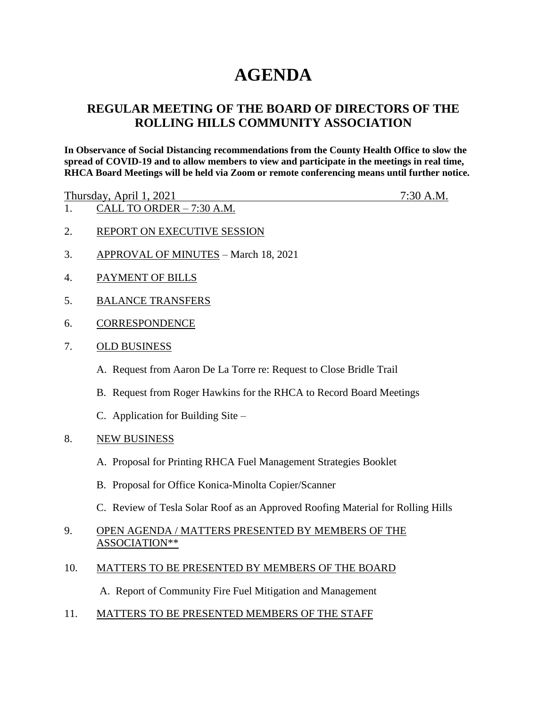## **AGENDA**

## **REGULAR MEETING OF THE BOARD OF DIRECTORS OF THE ROLLING HILLS COMMUNITY ASSOCIATION**

**In Observance of Social Distancing recommendations from the County Health Office to slow the spread of COVID-19 and to allow members to view and participate in the meetings in real time, RHCA Board Meetings will be held via Zoom or remote conferencing means until further notice.** 

Thursday, April 1, 2021 7:30 A.M.

- 1. CALL TO ORDER 7:30 A.M.
- 2. REPORT ON EXECUTIVE SESSION
- 3. APPROVAL OF MINUTES March 18, 2021
- 4. PAYMENT OF BILLS
- 5. BALANCE TRANSFERS
- 6. CORRESPONDENCE
- 7. OLD BUSINESS
	- A. Request from Aaron De La Torre re: Request to Close Bridle Trail
	- B. Request from Roger Hawkins for the RHCA to Record Board Meetings
	- C. Application for Building Site –
- 8. NEW BUSINESS
	- A. Proposal for Printing RHCA Fuel Management Strategies Booklet
	- B. Proposal for Office Konica-Minolta Copier/Scanner
	- C. Review of Tesla Solar Roof as an Approved Roofing Material for Rolling Hills
- 9. OPEN AGENDA / MATTERS PRESENTED BY MEMBERS OF THE ASSOCIATION\*\*
- 10. MATTERS TO BE PRESENTED BY MEMBERS OF THE BOARD

A. Report of Community Fire Fuel Mitigation and Management

11. MATTERS TO BE PRESENTED MEMBERS OF THE STAFF